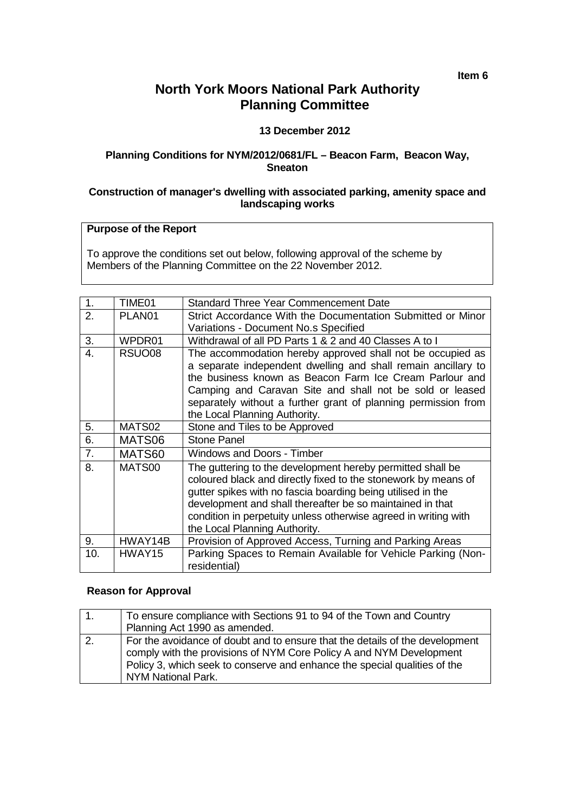**Item 6**

# **North York Moors National Park Authority Planning Committee**

## **13 December 2012**

### **Planning Conditions for NYM/2012/0681/FL – Beacon Farm, Beacon Way, Sneaton**

#### **Construction of manager's dwelling with associated parking, amenity space and landscaping works**

## **Purpose of the Report**

To approve the conditions set out below, following approval of the scheme by Members of the Planning Committee on the 22 November 2012.

| 1.             | TIME01             | <b>Standard Three Year Commencement Date</b>                                                                                                                                                                                                                                                                                                                 |
|----------------|--------------------|--------------------------------------------------------------------------------------------------------------------------------------------------------------------------------------------------------------------------------------------------------------------------------------------------------------------------------------------------------------|
| 2.             | PLAN <sub>01</sub> | Strict Accordance With the Documentation Submitted or Minor                                                                                                                                                                                                                                                                                                  |
|                |                    | Variations - Document No.s Specified                                                                                                                                                                                                                                                                                                                         |
| 3.             | WPDR01             | Withdrawal of all PD Parts 1 & 2 and 40 Classes A to I                                                                                                                                                                                                                                                                                                       |
| 4.             | RSUO08             | The accommodation hereby approved shall not be occupied as<br>a separate independent dwelling and shall remain ancillary to<br>the business known as Beacon Farm Ice Cream Parlour and<br>Camping and Caravan Site and shall not be sold or leased<br>separately without a further grant of planning permission from<br>the Local Planning Authority.        |
| 5.             | MATS02             | Stone and Tiles to be Approved                                                                                                                                                                                                                                                                                                                               |
| 6.             | MATS06             | <b>Stone Panel</b>                                                                                                                                                                                                                                                                                                                                           |
| 7 <sub>1</sub> | MATS60             | Windows and Doors - Timber                                                                                                                                                                                                                                                                                                                                   |
| 8.             | MATS00             | The guttering to the development hereby permitted shall be<br>coloured black and directly fixed to the stonework by means of<br>gutter spikes with no fascia boarding being utilised in the<br>development and shall thereafter be so maintained in that<br>condition in perpetuity unless otherwise agreed in writing with<br>the Local Planning Authority. |
| 9.             | HWAY14B            | Provision of Approved Access, Turning and Parking Areas                                                                                                                                                                                                                                                                                                      |
| 10.            | HWAY15             | Parking Spaces to Remain Available for Vehicle Parking (Non-<br>residential)                                                                                                                                                                                                                                                                                 |

## **Reason for Approval**

| To ensure compliance with Sections 91 to 94 of the Town and Country<br>Planning Act 1990 as amended.                                                                                                                                                   |
|--------------------------------------------------------------------------------------------------------------------------------------------------------------------------------------------------------------------------------------------------------|
| For the avoidance of doubt and to ensure that the details of the development<br>comply with the provisions of NYM Core Policy A and NYM Development<br>Policy 3, which seek to conserve and enhance the special qualities of the<br>NYM National Park. |